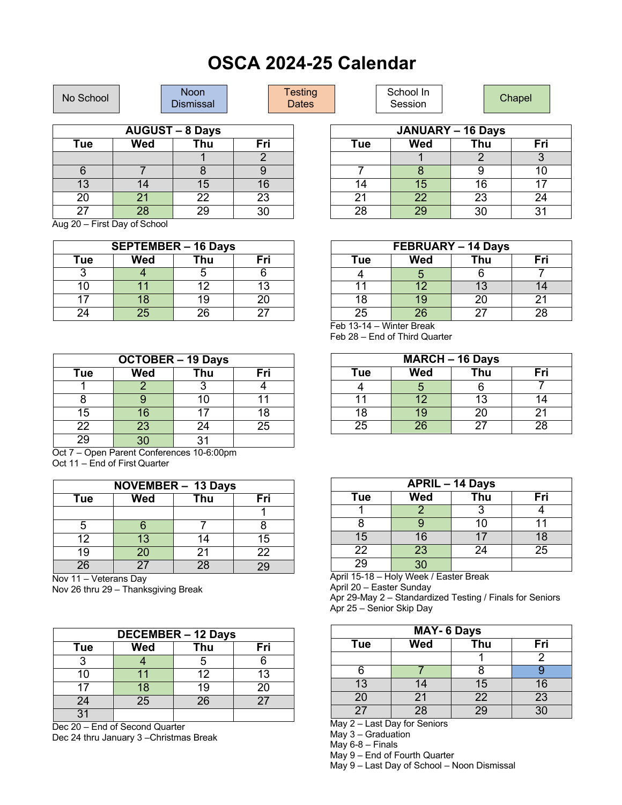## **OSCA 2024-25 Calendar**

| No School              |     | <b>Noon</b><br><b>Dismissal</b> |                          | Testing<br><b>Dates</b> |     | School In<br>Session |     | Chapel |
|------------------------|-----|---------------------------------|--------------------------|-------------------------|-----|----------------------|-----|--------|
|                        |     |                                 |                          |                         |     |                      |     |        |
| <b>AUGUST - 8 Days</b> |     |                                 | <b>JANUARY - 16 Days</b> |                         |     |                      |     |        |
| Tue                    | Wed | Thu                             | Fri                      |                         | Tue | Wed                  | Thu | Fri    |
|                        |     |                                 |                          |                         |     |                      |     |        |
|                        |     |                                 |                          |                         |     |                      |     |        |

Aug 20 – First Day of School 27 28 29 30

| <b>SEPTEMBER - 16 Days</b> |     |     |     |  |  |
|----------------------------|-----|-----|-----|--|--|
| Tue                        | Wed | Thu | Fri |  |  |
|                            |     |     |     |  |  |
| 10                         | 11  | 12  | 13  |  |  |
|                            | 18  | 19  | 20  |  |  |
| 24                         | 25  | 26  | つつ  |  |  |

13 14 15 16 20 21 22 23

| <b>OCTOBER - 19 Days</b> |                 |     |     |  |  |
|--------------------------|-----------------|-----|-----|--|--|
| Tue                      | Wed             | Thu | Fri |  |  |
|                          |                 |     |     |  |  |
|                          |                 | 10  |     |  |  |
| 15                       | 16              | 17  | 18  |  |  |
| 22                       | $\overline{23}$ | 24  | 25  |  |  |
| 29                       | ٩O              | 31  |     |  |  |

Oct 7 – Open Parent Conferences 10-6:00pm Oct 11 – End of First Quarter

| <b>NOVEMBER - 13 Days</b> |     |     |     |  |  |
|---------------------------|-----|-----|-----|--|--|
| Tue                       | Wed | Thu | Fri |  |  |
|                           |     |     |     |  |  |
| 5                         |     |     |     |  |  |
| 12                        | 13  | 14  | 15  |  |  |
| 19                        | 20  | 21  | 22  |  |  |
| 26                        | 27  | 28  | 29  |  |  |

Nov 11 – Veterans Day

Nov 26 thru 29 – Thanksgiving Break

| <b>DECEMBER - 12 Days</b> |     |     |     |  |  |
|---------------------------|-----|-----|-----|--|--|
| Tue                       | Wed | Thu | Fri |  |  |
|                           |     |     |     |  |  |
| 10                        |     | 12  | 13  |  |  |
| 17                        | 18  | 19  | 20  |  |  |
| 24                        | 25  | 26  | 27  |  |  |
|                           |     |     |     |  |  |

Dec 20 – End of Second Quarter Dec 24 thru January 3 –Christmas Break

| FEBRUARY - 14 Days |     |     |     |  |  |
|--------------------|-----|-----|-----|--|--|
| Tue                | Wed | Thu | Fri |  |  |
|                    |     |     |     |  |  |
|                    | 12  | 13  |     |  |  |
| 18                 | 19  | 20  | 21  |  |  |
| 25                 | 26  | 27  | 28  |  |  |

14 15 16 17 21 | 22 | 23 | 24 28 | 29 | 30 | 31

Feb 13-14 – Winter Break Feb 28 – End of Third Quarter

| <b>MARCH - 16 Days</b> |                 |            |     |  |  |
|------------------------|-----------------|------------|-----|--|--|
| Tue                    | Wed             | <b>Thu</b> | Fri |  |  |
|                        |                 |            |     |  |  |
| 11                     | 12              | 13         |     |  |  |
| 18                     | 19              | 20         | 21  |  |  |
| 25                     | 26 <sub>1</sub> | つつ         | 28  |  |  |

| <b>APRIL - 14 Days</b> |            |     |     |  |  |
|------------------------|------------|-----|-----|--|--|
| Tue                    | <b>Wed</b> | Thu | Fri |  |  |
|                        |            |     |     |  |  |
|                        |            | 10  |     |  |  |
| 15                     | 16         |     | 18  |  |  |
| 22                     | 23         | 24  | 25  |  |  |
|                        |            |     |     |  |  |

April 15-18 – Holy Week / Easter Break April 20 – Easter Sunday Apr 29-May 2 – Standardized Testing / Finals for Seniors

Apr 25 – Senior Skip Day

| <b>MAY- 6 Days</b> |            |                 |                |  |  |
|--------------------|------------|-----------------|----------------|--|--|
| Tue                | <b>Wed</b> | Thu             | Fri            |  |  |
|                    |            |                 | 2              |  |  |
|                    |            |                 |                |  |  |
| 13                 | 14         | 15              | 16             |  |  |
| 20                 | 21         | 22              | 23             |  |  |
| 27                 | 28         | $\overline{2}S$ | 3 <sub>1</sub> |  |  |

May 2 – Last Day for Seniors

May 3 – Graduation

May  $6-8$  – Finals

May 9 – End of Fourth Quarter

May 9 – Last Day of School – Noon Dismissal